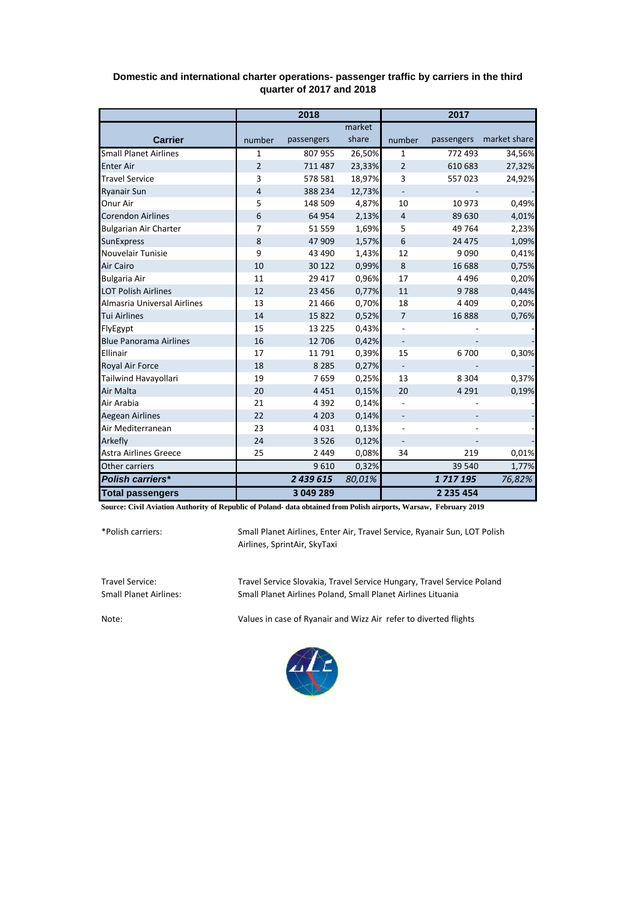|                               | 2018           |            |        | 2017                     |               |              |  |
|-------------------------------|----------------|------------|--------|--------------------------|---------------|--------------|--|
|                               |                |            | market |                          |               |              |  |
| <b>Carrier</b>                | number         | passengers | share  | number                   | passengers    | market share |  |
| <b>Small Planet Airlines</b>  | 1              | 807955     | 26,50% | 1                        | 772 493       | 34,56%       |  |
| <b>Enter Air</b>              | $\overline{2}$ | 711 487    | 23,33% | $\overline{2}$           | 610 683       | 27,32%       |  |
| <b>Travel Service</b>         | 3              | 578 581    | 18,97% | 3                        | 557023        | 24,92%       |  |
| <b>Ryanair Sun</b>            | 4              | 388 234    | 12,73% | $\overline{\phantom{0}}$ |               |              |  |
| Onur Air                      | 5              | 148 509    | 4,87%  | 10                       | 10 973        | 0,49%        |  |
| <b>Corendon Airlines</b>      | 6              | 64 954     | 2,13%  | $\overline{4}$           | 89 630        | 4,01%        |  |
| <b>Bulgarian Air Charter</b>  | $\overline{7}$ | 51 559     | 1,69%  | 5                        | 49 764        | 2,23%        |  |
| <b>SunExpress</b>             | 8              | 47 909     | 1,57%  | 6                        | 24 4 7 5      | 1,09%        |  |
| Nouvelair Tunisie             | 9              | 43 4 90    | 1,43%  | 12                       | 9090          | 0,41%        |  |
| Air Cairo                     | 10             | 30 122     | 0,99%  | 8                        | 16 688        | 0,75%        |  |
| <b>Bulgaria Air</b>           | 11             | 29 4 17    | 0,96%  | 17                       | 4 4 9 6       | 0,20%        |  |
| <b>LOT Polish Airlines</b>    | 12             | 23 4 5 6   | 0,77%  | 11                       | 9788          | 0,44%        |  |
| Almasria Universal Airlines   | 13             | 21 4 6 6   | 0,70%  | 18                       | 4 4 0 9       | 0,20%        |  |
| <b>Tui Airlines</b>           | 14             | 15822      | 0,52%  | $\overline{7}$           | 16888         | 0,76%        |  |
| FlyEgypt                      | 15             | 13 2 2 5   | 0,43%  |                          |               |              |  |
| <b>Blue Panorama Airlines</b> | 16             | 12 706     | 0,42%  | $\overline{\phantom{0}}$ |               |              |  |
| Ellinair                      | 17             | 11791      | 0,39%  | 15                       | 6700          | 0,30%        |  |
| Royal Air Force               | 18             | 8 2 8 5    | 0,27%  |                          |               |              |  |
| Tailwind Havayollari          | 19             | 7659       | 0,25%  | 13                       | 8 3 0 4       | 0,37%        |  |
| Air Malta                     | 20             | 4451       | 0,15%  | 20                       | 4 2 9 1       | 0,19%        |  |
| Air Arabia                    | 21             | 4 3 9 2    | 0,14%  |                          |               |              |  |
| <b>Aegean Airlines</b>        | 22             | 4 2 0 3    | 0,14%  |                          |               |              |  |
| Air Mediterranean             | 23             | 4031       | 0,13%  |                          |               |              |  |
| Arkefly                       | 24             | 3526       | 0,12%  | $\overline{\phantom{m}}$ |               |              |  |
| <b>Astra Airlines Greece</b>  | 25             | 2 4 4 9    | 0,08%  | 34                       | 219           | 0,01%        |  |
| Other carriers                |                | 9610       | 0,32%  |                          | 39 540        | 1,77%        |  |
| Polish carriers*              |                | 2 439 615  | 80,01% |                          | 1717195       | 76,82%       |  |
| <b>Total passengers</b>       |                | 3 049 289  |        |                          | 2 2 3 5 4 5 4 |              |  |

## **Domestic and international charter operations- passenger traffic by carriers in the third quarter of 2017 and 2018**

**Source: Civil Aviation Authority of Republic of Poland- data obtained from Polish airports, Warsaw, February 2019**

\*Polish carriers:

Small Planet Airlines, Enter Air, Travel Service, Ryanair Sun, LOT Polish Airlines, SprintAir, SkyTaxi

Travel Service: Travel Service Slovakia, Travel Service Hungary, Travel Service Poland Small Planet Airlines Poland, Small Planet Airlines Lituania

Note: Values in case of Ryanair and Wizz Air refer to diverted flights